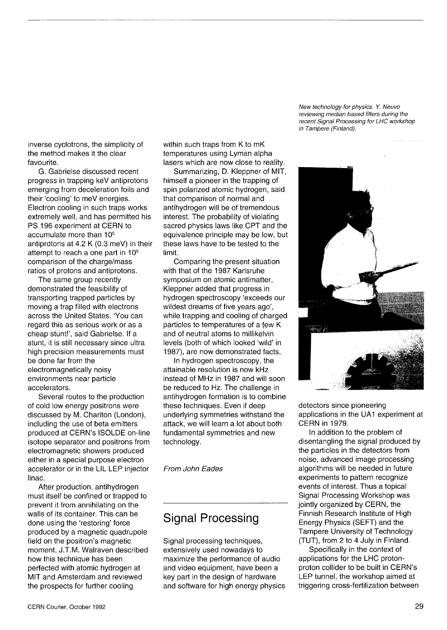inverse cyclotrons, the simplicity of the method makes it the clear favourite.

G. Gabrielse discussed recent progress in trapping keV antiprotons emerging from deceleration foils and their 'cooling' to meV energies. Electron cooling in such traps works extremely well, and has permitted his PS 196 experiment at CERN to accumulate more than 10<sup>5</sup> antiprotons at 4.2 K (0.3 meV) in their attempt to reach a one part in 10<sup>9</sup> comparison of the charge/mass ratios of protons and antiprotons.

The same group recently demonstrated the feasibility of transporting trapped particles by moving a trap filled with electrons across the United States. 'You can regard this as serious work or as a cheap stunt!', said Gabrielse. If a stunt, it is still necessary since ultra high precision measurements must be done far from the electromagnetically noisy environments near particle accelerators.

Several routes to the production of cold low energy positrons were discussed by M. Charlton (London), including the use of beta emitters produced at CERN's ISOLDE on-line isotope separator and positrons from electromagnetic showers produced either in a special purpose electron accelerator or in the LIL LEP injector linac.

After production, antihydrogen must itself be confined or trapped to prevent it from annihilating on the walls of its container. This can be done using the 'restoring' force produced by a magnetic quadrupole field on the positron's magnetic moment. J.T.M. Walraven described how this technique has been perfected with atomic hydrogen at MIT and Amsterdam and reviewed the prospects for further cooling

within such traps from K to mK temperatures using Lyman alpha lasers which are now close to reality.

Summarizing, D. Kleppner of MIT, himself a pioneer in the trapping of spin polarized atomic hydrogen, said that comparison of normal and antihydrogen will be of tremendous interest. The probability of violating sacred physics laws like CPT and the equivalence principle may be low, but these laws have to be tested to the limit.

Comparing the present situation with that of the 1987 Karlsruhe symposium on atomic antimatter, Kleppner added that progress in hydrogen spectroscopy 'exceeds our wildest dreams of five years ago', while trapping and cooling of charged particles to temperatures of a few K and of neutral atoms to millikelvin levels (both of which looked 'wild' in 1987), are now demonstrated facts.

In hydrogen spectroscopy, the attainable resolution is now kHz instead of MHz in 1987 and will soon be reduced to Hz. The challenge in antihydrogen formation is to combine these techniques. Even if deep underlying symmetries withstand the attack, we will learn a lot about both fundamental symmetries and new technology.

*From John Fades* 

## Signal Processing

Signal processing techniques, extensively used nowadays to maximize the performance of audio and video equipment, have been a key part in the design of hardware and software for high energy physics

*New technology for physics. Y. Neuvo reviewing median based filters during the recent Signal Processing for LHC workshop in Tampere (Finland).* 



detectors since pioneering applications in the UA1 experiment at CERN in 1979.

In addition to the problem of disentangling the signal produced by the particles in the detectors from noise, advanced image processing algorithms will be needed in future experiments to pattern recognize events of interest. Thus a topical Signal Processing Workshop was jointly organized by CERN, the Finnish Research Institute of High Energy Physics (SEFT) and the Tampere University of Technology (TUT), from 2 to 4 July in Finland.

Specifically in the context of applications for the LHC protonproton collider to be built in CERN's LEP tunnel, the workshop aimed at triggering cross-fertilization between